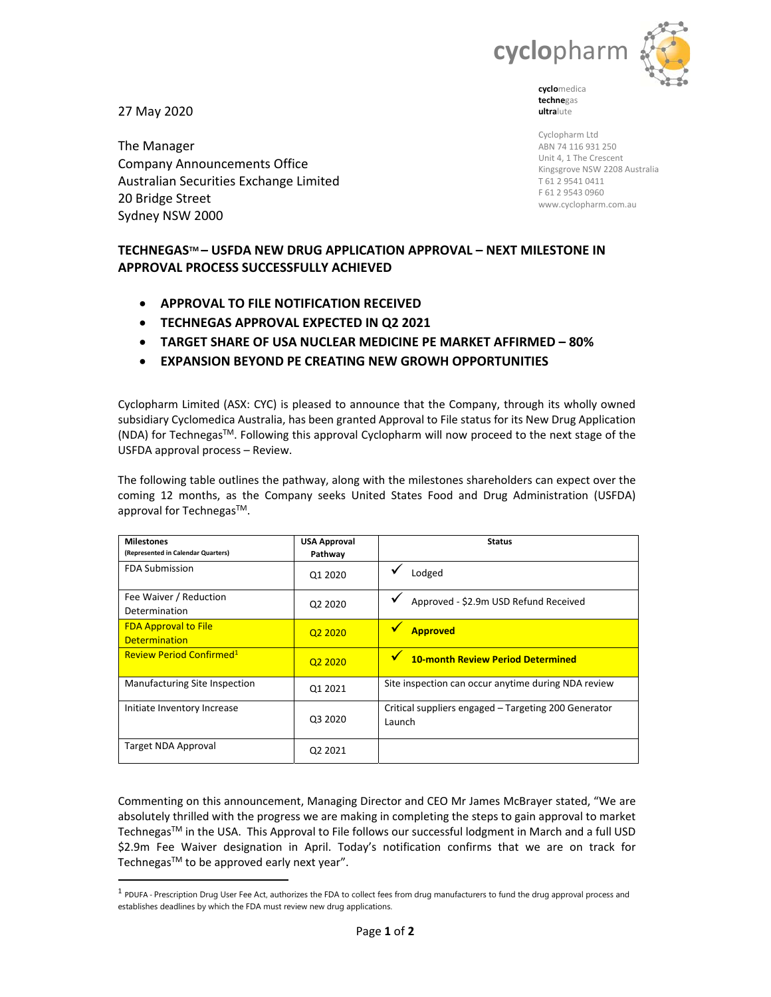

27 May 2020

The Manager Company Announcements Office Australian Securities Exchange Limited 20 Bridge Street Sydney NSW 2000

**techne**gas **ultra**lute

Cyclopharm Ltd ABN 74 116 931 250 Unit 4, 1 The Crescent Kingsgrove NSW 2208 Australia T 61 2 9541 0411 F 61 2 9543 0960 www.cyclopharm.com.au

# **TECHNEGASTM – USFDA NEW DRUG APPLICATION APPROVAL – NEXT MILESTONE IN APPROVAL PROCESS SUCCESSFULLY ACHIEVED**

- **APPROVAL TO FILE NOTIFICATION RECEIVED**
- **TECHNEGAS APPROVAL EXPECTED IN Q2 2021**
- **TARGET SHARE OF USA NUCLEAR MEDICINE PE MARKET AFFIRMED 80%**
- **EXPANSION BEYOND PE CREATING NEW GROWH OPPORTUNITIES**

Cyclopharm Limited (ASX: CYC) is pleased to announce that the Company, through its wholly owned subsidiary Cyclomedica Australia, has been granted Approval to File status for its New Drug Application (NDA) for TechnegasTM. Following this approval Cyclopharm will now proceed to the next stage of the USFDA approval process – Review.

The following table outlines the pathway, along with the milestones shareholders can expect over the coming 12 months, as the Company seeks United States Food and Drug Administration (USFDA) approval for Technegas<sup>™</sup>.

| <b>Milestones</b><br>(Represented in Calendar Quarters) | <b>USA Approval</b><br>Pathway  | <b>Status</b>                                                  |
|---------------------------------------------------------|---------------------------------|----------------------------------------------------------------|
| <b>FDA Submission</b>                                   | Q1 2020                         | Lodged                                                         |
| Fee Waiver / Reduction<br>Determination                 | Q <sub>2</sub> 20 <sub>20</sub> | Approved - \$2.9m USD Refund Received                          |
| <b>FDA Approval to File</b><br><b>Determination</b>     | 02 2020                         | w<br><b>Approved</b>                                           |
| Review Period Confirmed <sup>1</sup>                    | Q <sub>2</sub> 2020             | <b>10-month Review Period Determined</b>                       |
| Manufacturing Site Inspection                           | 01 2021                         | Site inspection can occur anytime during NDA review            |
| Initiate Inventory Increase                             | Q3 2020                         | Critical suppliers engaged - Targeting 200 Generator<br>Launch |
| Target NDA Approval                                     | Q <sub>2</sub> 2021             |                                                                |

Commenting on this announcement, Managing Director and CEO Mr James McBrayer stated, "We are absolutely thrilled with the progress we are making in completing the steps to gain approval to market Technegas™ in the USA. This Approval to File follows our successful lodgment in March and a full USD \$2.9m Fee Waiver designation in April. Today's notification confirms that we are on track for Technegas™ to be approved early next year".

 $<sup>1</sup>$  PDUFA - Prescription Drug User Fee Act, authorizes the FDA to collect fees from drug manufacturers to fund the drug approval process and</sup> establishes deadlines by which the FDA must review new drug applications.